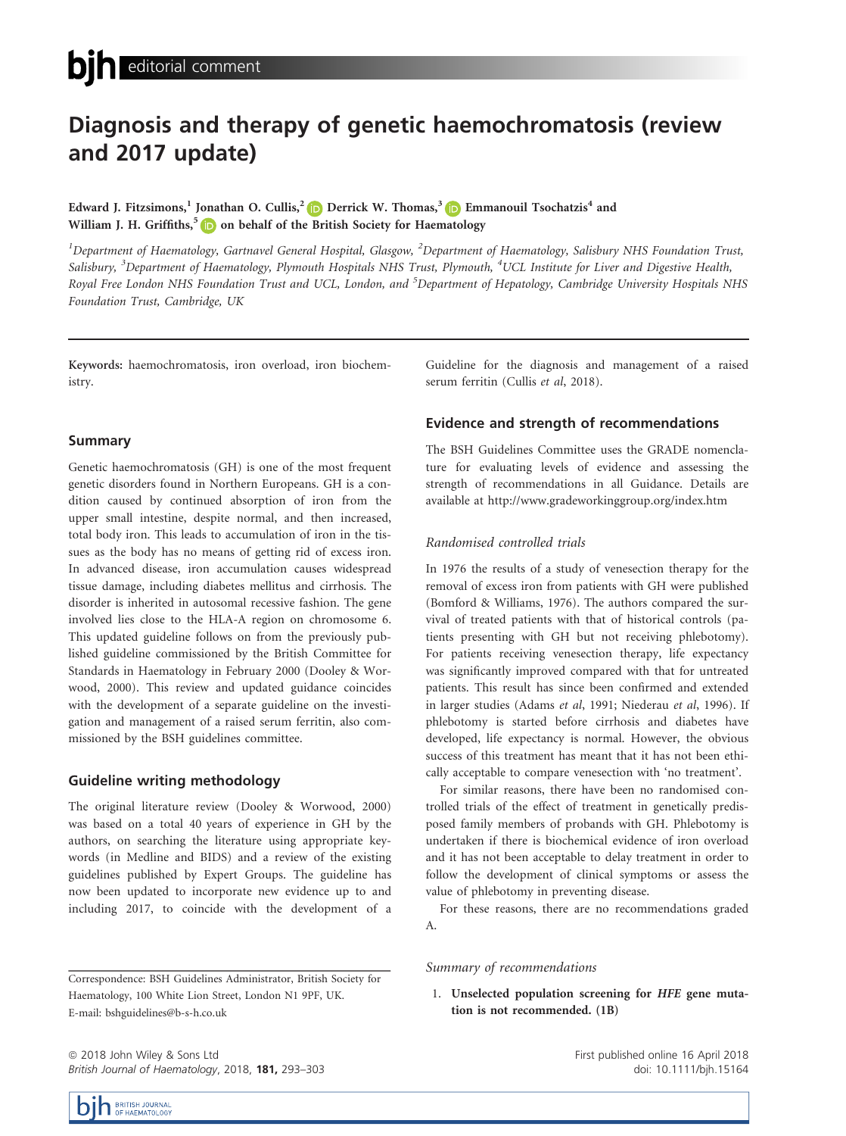# Diagnosis and therapy of genetic haemochromatosis (review and 2017 update)

Edward J. Fitzsimons,<sup>1</sup> Jonathan O. Cullis,<sup>[2](http://orcid.org/0000-0003-0390-6097)</sup> Derrick W. Thomas,<sup>3</sup> D Emmanouil Tsochatzis<sup>4</sup> and William J. H. Griffiths,<sup>[5](http://orcid.org/0000-0002-7905-2094)</sup>  $\Box$  on behalf of the British Society for Haematology

 $^{\rm I}$ Department of Haematology, Gartnavel General Hospital, Glasgow,  $^{\rm 2}$ Department of Haematology, Salisbury NHS Foundation Trust, Salisbury, <sup>3</sup>Department of Haematology, Plymouth Hospitals NHS Trust, Plymouth, <sup>4</sup>UCL Institute for Liver and Digestive Health, Royal Free London NHS Foundation Trust and UCL, London, and <sup>5</sup>Department of Hepatology, Cambridge University Hospitals NHS Foundation Trust, Cambridge, UK

Keywords: haemochromatosis, iron overload, iron biochemistry.

#### Summary

Genetic haemochromatosis (GH) is one of the most frequent genetic disorders found in Northern Europeans. GH is a condition caused by continued absorption of iron from the upper small intestine, despite normal, and then increased, total body iron. This leads to accumulation of iron in the tissues as the body has no means of getting rid of excess iron. In advanced disease, iron accumulation causes widespread tissue damage, including diabetes mellitus and cirrhosis. The disorder is inherited in autosomal recessive fashion. The gene involved lies close to the HLA-A region on chromosome 6. This updated guideline follows on from the previously published guideline commissioned by the British Committee for Standards in Haematology in February 2000 (Dooley & Worwood, 2000). This review and updated guidance coincides with the development of a separate guideline on the investigation and management of a raised serum ferritin, also commissioned by the BSH guidelines committee.

# Guideline writing methodology

The original literature review (Dooley & Worwood, 2000) was based on a total 40 years of experience in GH by the authors, on searching the literature using appropriate keywords (in Medline and BIDS) and a review of the existing guidelines published by Expert Groups. The guideline has now been updated to incorporate new evidence up to and including 2017, to coincide with the development of a Guideline for the diagnosis and management of a raised serum ferritin (Cullis et al, 2018).

## Evidence and strength of recommendations

The BSH Guidelines Committee uses the GRADE nomenclature for evaluating levels of evidence and assessing the strength of recommendations in all Guidance. Details are available at<http://www.gradeworkinggroup.org/index.htm>

### Randomised controlled trials

In 1976 the results of a study of venesection therapy for the removal of excess iron from patients with GH were published (Bomford & Williams, 1976). The authors compared the survival of treated patients with that of historical controls (patients presenting with GH but not receiving phlebotomy). For patients receiving venesection therapy, life expectancy was significantly improved compared with that for untreated patients. This result has since been confirmed and extended in larger studies (Adams et al, 1991; Niederau et al, 1996). If phlebotomy is started before cirrhosis and diabetes have developed, life expectancy is normal. However, the obvious success of this treatment has meant that it has not been ethically acceptable to compare venesection with 'no treatment'.

For similar reasons, there have been no randomised controlled trials of the effect of treatment in genetically predisposed family members of probands with GH. Phlebotomy is undertaken if there is biochemical evidence of iron overload and it has not been acceptable to delay treatment in order to follow the development of clinical symptoms or assess the value of phlebotomy in preventing disease.

For these reasons, there are no recommendations graded A.

#### Summary of recommendations

1. Unselected population screening for HFE gene mutation is not recommended. (1B)

ª 2018 John Wiley & Sons Ltd British Journal of Haematology, 2018, 181, 293–303 First published online 16 April 2018 doi: 10.1111/bjh.15164



Correspondence: BSH Guidelines Administrator, British Society for Haematology, 100 White Lion Street, London N1 9PF, UK. E-mail: bshguidelines@b-s-h.co.uk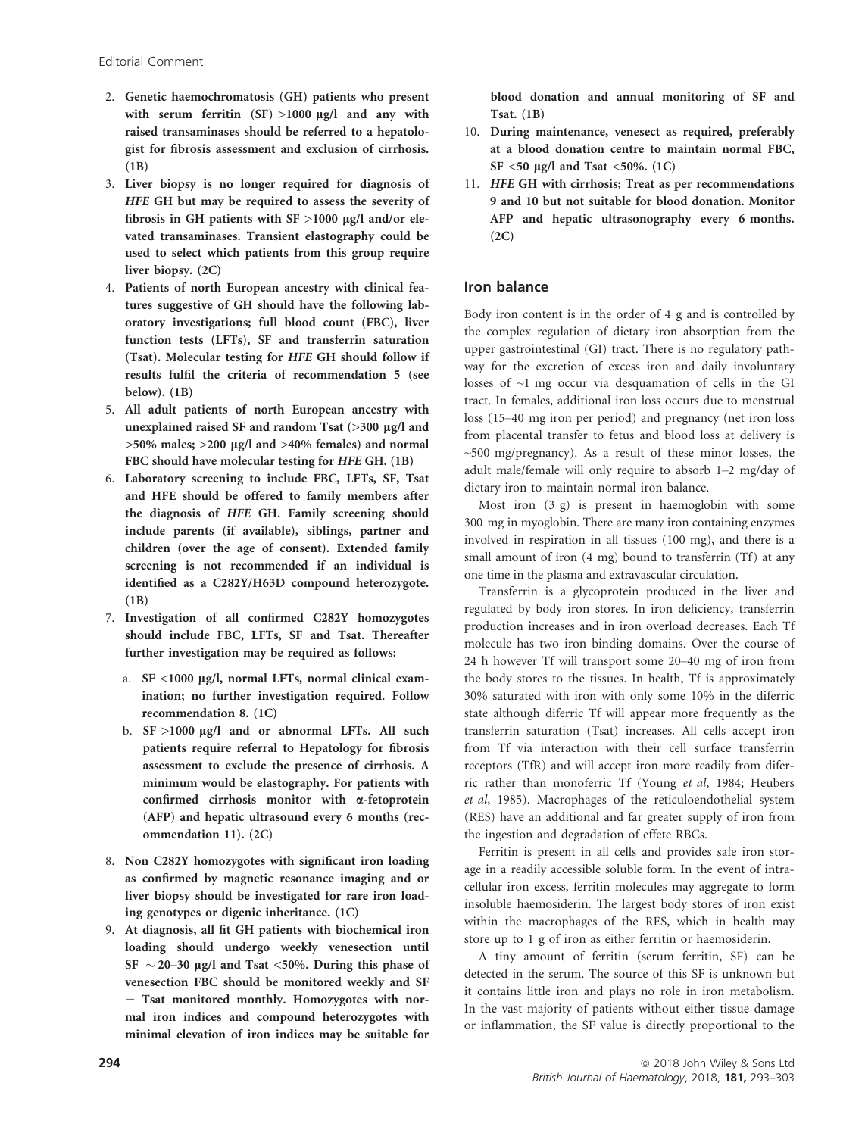- 2. Genetic haemochromatosis (GH) patients who present with serum ferritin  $(SF) > 1000 \mu g/l$  and any with raised transaminases should be referred to a hepatologist for fibrosis assessment and exclusion of cirrhosis.  $(1B)$
- 3. Liver biopsy is no longer required for diagnosis of HFE GH but may be required to assess the severity of fibrosis in GH patients with  $SF >1000 \mu g/l$  and/or elevated transaminases. Transient elastography could be used to select which patients from this group require liver biopsy. (2C)
- 4. Patients of north European ancestry with clinical features suggestive of GH should have the following laboratory investigations; full blood count (FBC), liver function tests (LFTs), SF and transferrin saturation (Tsat). Molecular testing for HFE GH should follow if results fulfil the criteria of recommendation 5 (see below). (1B)
- 5. All adult patients of north European ancestry with unexplained raised SF and random Tsat  $(>300 \text{ µg/l}$  and  $>50\%$  males;  $>200$  µg/l and  $>40\%$  females) and normal FBC should have molecular testing for HFE GH. (1B)
- 6. Laboratory screening to include FBC, LFTs, SF, Tsat and HFE should be offered to family members after the diagnosis of HFE GH. Family screening should include parents (if available), siblings, partner and children (over the age of consent). Extended family screening is not recommended if an individual is identified as a C282Y/H63D compound heterozygote. (1B)
- 7. Investigation of all confirmed C282Y homozygotes should include FBC, LFTs, SF and Tsat. Thereafter further investigation may be required as follows:
	- a. SF <1000 µg/l, normal LFTs, normal clinical examination; no further investigation required. Follow recommendation 8. (1C)
	- b.  $SF >1000 \mu g/l$  and or abnormal LFTs. All such patients require referral to Hepatology for fibrosis assessment to exclude the presence of cirrhosis. A minimum would be elastography. For patients with confirmed cirrhosis monitor with a-fetoprotein (AFP) and hepatic ultrasound every 6 months (recommendation 11). (2C)
- 8. Non C282Y homozygotes with significant iron loading as confirmed by magnetic resonance imaging and or liver biopsy should be investigated for rare iron loading genotypes or digenic inheritance. (1C)
- 9. At diagnosis, all fit GH patients with biochemical iron loading should undergo weekly venesection until SF  $\sim$  20–30 µg/l and Tsat <50%. During this phase of venesection FBC should be monitored weekly and SF  $\pm$  Tsat monitored monthly. Homozygotes with normal iron indices and compound heterozygotes with minimal elevation of iron indices may be suitable for

blood donation and annual monitoring of SF and Tsat. (1B)

- 10. During maintenance, venesect as required, preferably at a blood donation centre to maintain normal FBC, SF  $\leq$ 50 µg/l and Tsat  $\leq$ 50%. (1C)
- 11. HFE GH with cirrhosis; Treat as per recommendations 9 and 10 but not suitable for blood donation. Monitor AFP and hepatic ultrasonography every 6 months. (2C)

# Iron balance

Body iron content is in the order of 4 g and is controlled by the complex regulation of dietary iron absorption from the upper gastrointestinal (GI) tract. There is no regulatory pathway for the excretion of excess iron and daily involuntary losses of  $\sim$ 1 mg occur via desquamation of cells in the GI tract. In females, additional iron loss occurs due to menstrual loss (15–40 mg iron per period) and pregnancy (net iron loss from placental transfer to fetus and blood loss at delivery is  $\sim$ 500 mg/pregnancy). As a result of these minor losses, the adult male/female will only require to absorb 1–2 mg/day of dietary iron to maintain normal iron balance.

Most iron (3 g) is present in haemoglobin with some 300 mg in myoglobin. There are many iron containing enzymes involved in respiration in all tissues (100 mg), and there is a small amount of iron  $(4 \text{ mg})$  bound to transferrin  $(Tf)$  at any one time in the plasma and extravascular circulation.

Transferrin is a glycoprotein produced in the liver and regulated by body iron stores. In iron deficiency, transferrin production increases and in iron overload decreases. Each Tf molecule has two iron binding domains. Over the course of 24 h however Tf will transport some 20–40 mg of iron from the body stores to the tissues. In health, Tf is approximately 30% saturated with iron with only some 10% in the diferric state although diferric Tf will appear more frequently as the transferrin saturation (Tsat) increases. All cells accept iron from Tf via interaction with their cell surface transferrin receptors (TfR) and will accept iron more readily from diferric rather than monoferric Tf (Young et al, 1984; Heubers et al, 1985). Macrophages of the reticuloendothelial system (RES) have an additional and far greater supply of iron from the ingestion and degradation of effete RBCs.

Ferritin is present in all cells and provides safe iron storage in a readily accessible soluble form. In the event of intracellular iron excess, ferritin molecules may aggregate to form insoluble haemosiderin. The largest body stores of iron exist within the macrophages of the RES, which in health may store up to 1 g of iron as either ferritin or haemosiderin.

A tiny amount of ferritin (serum ferritin, SF) can be detected in the serum. The source of this SF is unknown but it contains little iron and plays no role in iron metabolism. In the vast majority of patients without either tissue damage or inflammation, the SF value is directly proportional to the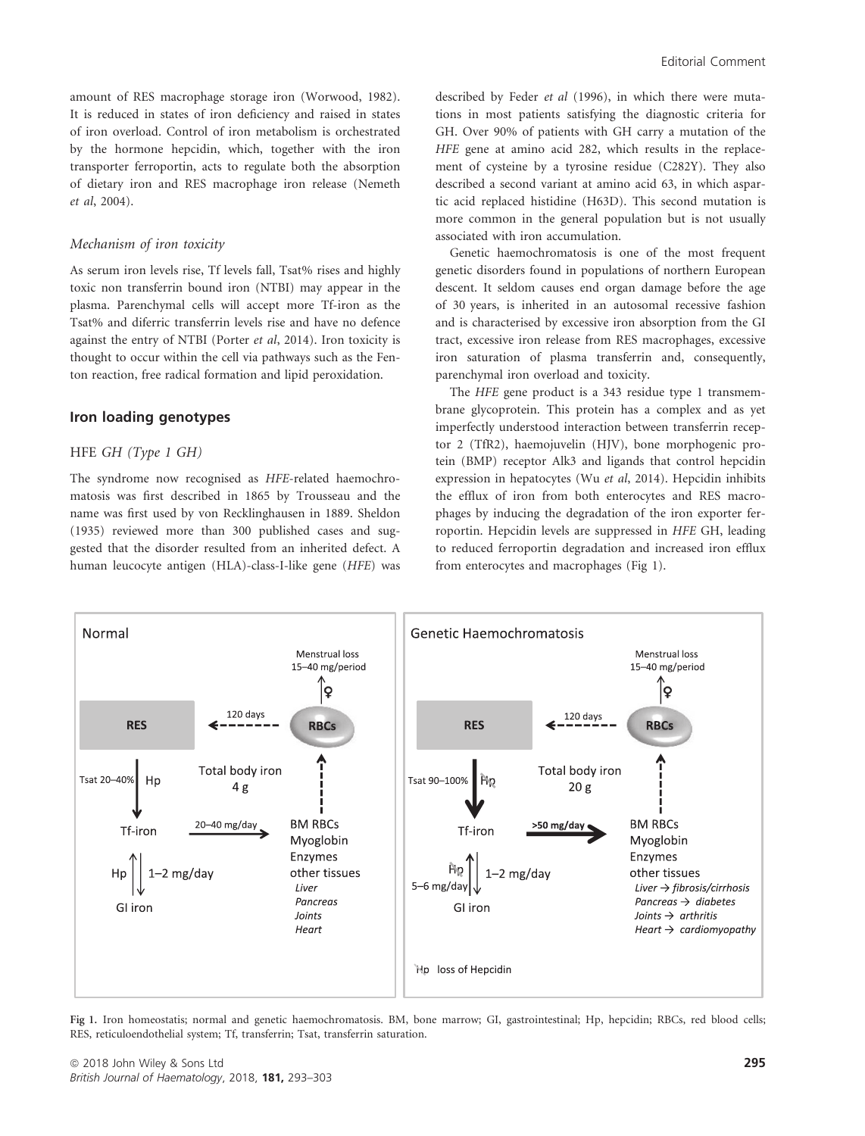amount of RES macrophage storage iron (Worwood, 1982). It is reduced in states of iron deficiency and raised in states of iron overload. Control of iron metabolism is orchestrated by the hormone hepcidin, which, together with the iron transporter ferroportin, acts to regulate both the absorption of dietary iron and RES macrophage iron release (Nemeth et al, 2004).

#### Mechanism of iron toxicity

As serum iron levels rise, Tf levels fall, Tsat% rises and highly toxic non transferrin bound iron (NTBI) may appear in the plasma. Parenchymal cells will accept more Tf-iron as the Tsat% and diferric transferrin levels rise and have no defence against the entry of NTBI (Porter et al, 2014). Iron toxicity is thought to occur within the cell via pathways such as the Fenton reaction, free radical formation and lipid peroxidation.

# Iron loading genotypes

#### HFE GH (Type 1 GH)

The syndrome now recognised as HFE-related haemochromatosis was first described in 1865 by Trousseau and the name was first used by von Recklinghausen in 1889. Sheldon (1935) reviewed more than 300 published cases and suggested that the disorder resulted from an inherited defect. A human leucocyte antigen (HLA)-class-I-like gene (HFE) was described by Feder et al (1996), in which there were mutations in most patients satisfying the diagnostic criteria for GH. Over 90% of patients with GH carry a mutation of the HFE gene at amino acid 282, which results in the replacement of cysteine by a tyrosine residue (C282Y). They also described a second variant at amino acid 63, in which aspartic acid replaced histidine (H63D). This second mutation is more common in the general population but is not usually associated with iron accumulation.

Genetic haemochromatosis is one of the most frequent genetic disorders found in populations of northern European descent. It seldom causes end organ damage before the age of 30 years, is inherited in an autosomal recessive fashion and is characterised by excessive iron absorption from the GI tract, excessive iron release from RES macrophages, excessive iron saturation of plasma transferrin and, consequently, parenchymal iron overload and toxicity.

The HFE gene product is a 343 residue type 1 transmembrane glycoprotein. This protein has a complex and as yet imperfectly understood interaction between transferrin receptor 2 (TfR2), haemojuvelin (HJV), bone morphogenic protein (BMP) receptor Alk3 and ligands that control hepcidin expression in hepatocytes (Wu et al, 2014). Hepcidin inhibits the efflux of iron from both enterocytes and RES macrophages by inducing the degradation of the iron exporter ferroportin. Hepcidin levels are suppressed in HFE GH, leading to reduced ferroportin degradation and increased iron efflux from enterocytes and macrophages (Fig 1).



Fig 1. Iron homeostatis; normal and genetic haemochromatosis. BM, bone marrow; GI, gastrointestinal; Hp, hepcidin; RBCs, red blood cells; RES, reticuloendothelial system; Tf, transferrin; Tsat, transferrin saturation.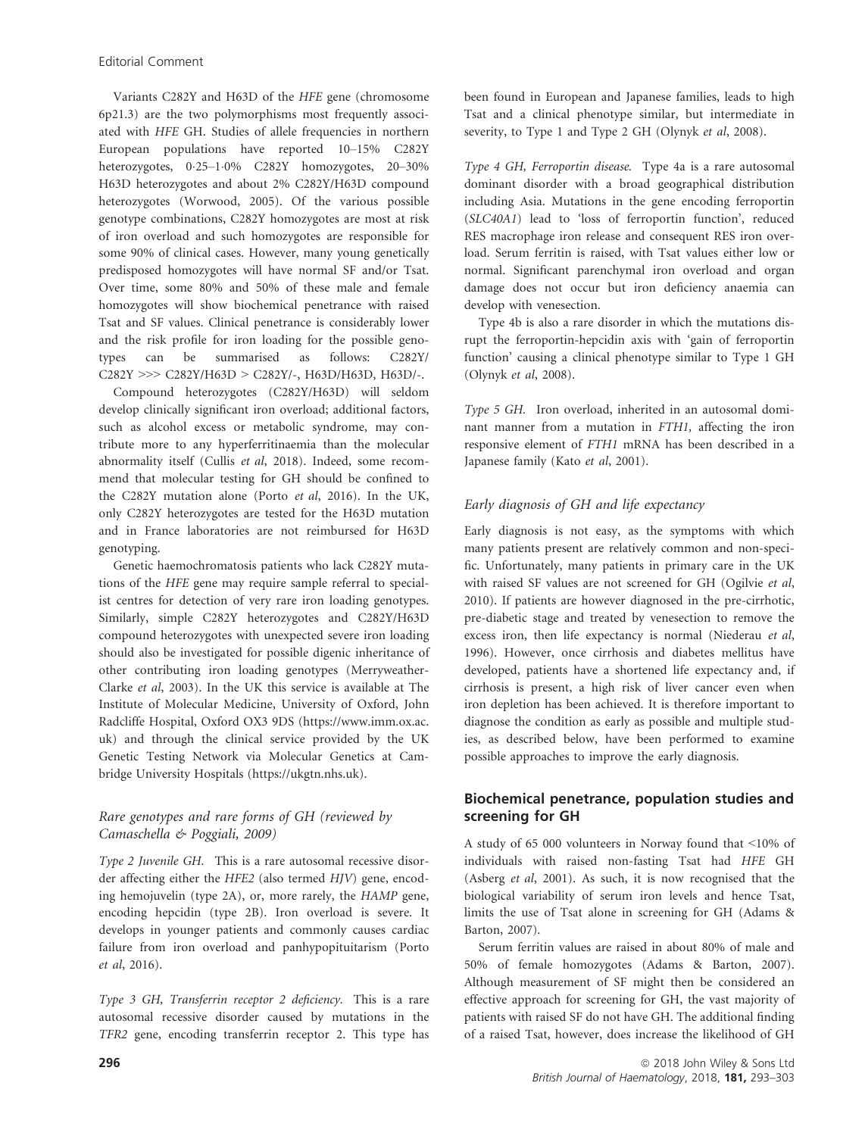Variants C282Y and H63D of the HFE gene (chromosome 6p21.3) are the two polymorphisms most frequently associated with HFE GH. Studies of allele frequencies in northern European populations have reported 10–15% C282Y heterozygotes, 025–10% C282Y homozygotes, 20–30% H63D heterozygotes and about 2% C282Y/H63D compound heterozygotes (Worwood, 2005). Of the various possible genotype combinations, C282Y homozygotes are most at risk of iron overload and such homozygotes are responsible for some 90% of clinical cases. However, many young genetically predisposed homozygotes will have normal SF and/or Tsat. Over time, some 80% and 50% of these male and female homozygotes will show biochemical penetrance with raised Tsat and SF values. Clinical penetrance is considerably lower and the risk profile for iron loading for the possible genotypes can be summarised as follows: C282Y/ C282Y >>> C282Y/H63D > C282Y/-, H63D/H63D, H63D/-.

Compound heterozygotes (C282Y/H63D) will seldom develop clinically significant iron overload; additional factors, such as alcohol excess or metabolic syndrome, may contribute more to any hyperferritinaemia than the molecular abnormality itself (Cullis et al, 2018). Indeed, some recommend that molecular testing for GH should be confined to the C282Y mutation alone (Porto et al, 2016). In the UK, only C282Y heterozygotes are tested for the H63D mutation and in France laboratories are not reimbursed for H63D genotyping.

Genetic haemochromatosis patients who lack C282Y mutations of the HFE gene may require sample referral to specialist centres for detection of very rare iron loading genotypes. Similarly, simple C282Y heterozygotes and C282Y/H63D compound heterozygotes with unexpected severe iron loading should also be investigated for possible digenic inheritance of other contributing iron loading genotypes (Merryweather-Clarke et al, 2003). In the UK this service is available at The Institute of Molecular Medicine, University of Oxford, John Radcliffe Hospital, Oxford OX3 9DS ([https://www.imm.ox.ac.](https://www.imm.ox.ac.uk) [uk](https://www.imm.ox.ac.uk)) and through the clinical service provided by the UK Genetic Testing Network via Molecular Genetics at Cambridge University Hospitals (<https://ukgtn.nhs.uk>).

# Rare genotypes and rare forms of GH (reviewed by Camaschella & Poggiali, 2009)

Type 2 Juvenile GH. This is a rare autosomal recessive disorder affecting either the HFE2 (also termed HJV) gene, encoding hemojuvelin (type 2A), or, more rarely, the HAMP gene, encoding hepcidin (type 2B). Iron overload is severe. It develops in younger patients and commonly causes cardiac failure from iron overload and panhypopituitarism (Porto et al, 2016).

Type 3 GH, Transferrin receptor 2 deficiency. This is a rare autosomal recessive disorder caused by mutations in the TFR2 gene, encoding transferrin receptor 2. This type has been found in European and Japanese families, leads to high Tsat and a clinical phenotype similar, but intermediate in severity, to Type 1 and Type 2 GH (Olynyk et al, 2008).

Type 4 GH, Ferroportin disease. Type 4a is a rare autosomal dominant disorder with a broad geographical distribution including Asia. Mutations in the gene encoding ferroportin (SLC40A1) lead to 'loss of ferroportin function', reduced RES macrophage iron release and consequent RES iron overload. Serum ferritin is raised, with Tsat values either low or normal. Significant parenchymal iron overload and organ damage does not occur but iron deficiency anaemia can develop with venesection.

Type 4b is also a rare disorder in which the mutations disrupt the ferroportin-hepcidin axis with 'gain of ferroportin function' causing a clinical phenotype similar to Type 1 GH (Olynyk et al, 2008).

Type 5 GH. Iron overload, inherited in an autosomal dominant manner from a mutation in FTH1, affecting the iron responsive element of FTH1 mRNA has been described in a Japanese family (Kato et al, 2001).

# Early diagnosis of GH and life expectancy

Early diagnosis is not easy, as the symptoms with which many patients present are relatively common and non-specific. Unfortunately, many patients in primary care in the UK with raised SF values are not screened for GH (Ogilvie et al, 2010). If patients are however diagnosed in the pre-cirrhotic, pre-diabetic stage and treated by venesection to remove the excess iron, then life expectancy is normal (Niederau et al, 1996). However, once cirrhosis and diabetes mellitus have developed, patients have a shortened life expectancy and, if cirrhosis is present, a high risk of liver cancer even when iron depletion has been achieved. It is therefore important to diagnose the condition as early as possible and multiple studies, as described below, have been performed to examine possible approaches to improve the early diagnosis.

# Biochemical penetrance, population studies and screening for GH

A study of 65 000 volunteers in Norway found that <10% of individuals with raised non-fasting Tsat had HFE GH (Asberg et al, 2001). As such, it is now recognised that the biological variability of serum iron levels and hence Tsat, limits the use of Tsat alone in screening for GH (Adams & Barton, 2007).

Serum ferritin values are raised in about 80% of male and 50% of female homozygotes (Adams & Barton, 2007). Although measurement of SF might then be considered an effective approach for screening for GH, the vast majority of patients with raised SF do not have GH. The additional finding of a raised Tsat, however, does increase the likelihood of GH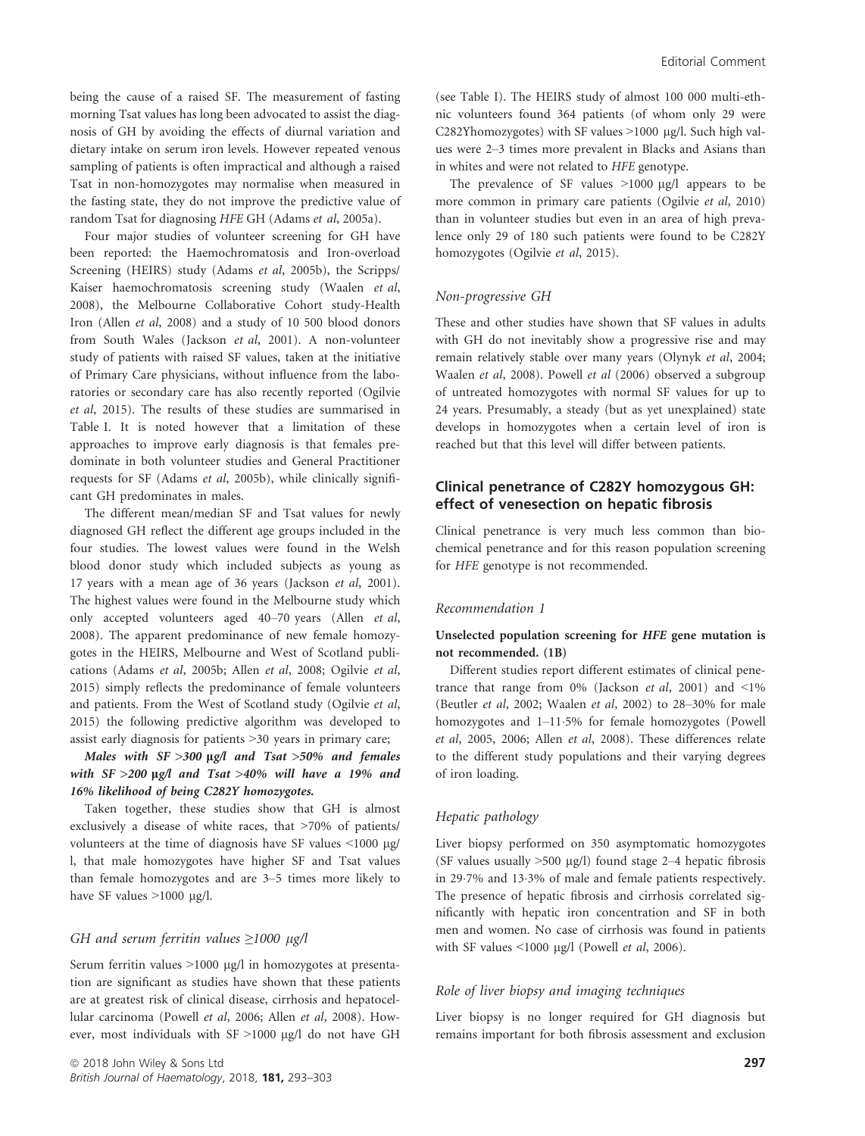being the cause of a raised SF. The measurement of fasting morning Tsat values has long been advocated to assist the diagnosis of GH by avoiding the effects of diurnal variation and dietary intake on serum iron levels. However repeated venous sampling of patients is often impractical and although a raised Tsat in non-homozygotes may normalise when measured in the fasting state, they do not improve the predictive value of random Tsat for diagnosing HFE GH (Adams et al, 2005a).

Four major studies of volunteer screening for GH have been reported: the Haemochromatosis and Iron-overload Screening (HEIRS) study (Adams et al, 2005b), the Scripps/ Kaiser haemochromatosis screening study (Waalen et al, 2008), the Melbourne Collaborative Cohort study-Health Iron (Allen et al, 2008) and a study of 10 500 blood donors from South Wales (Jackson et al, 2001). A non-volunteer study of patients with raised SF values, taken at the initiative of Primary Care physicians, without influence from the laboratories or secondary care has also recently reported (Ogilvie et al, 2015). The results of these studies are summarised in Table I. It is noted however that a limitation of these approaches to improve early diagnosis is that females predominate in both volunteer studies and General Practitioner requests for SF (Adams et al, 2005b), while clinically significant GH predominates in males.

The different mean/median SF and Tsat values for newly diagnosed GH reflect the different age groups included in the four studies. The lowest values were found in the Welsh blood donor study which included subjects as young as 17 years with a mean age of 36 years (Jackson et al, 2001). The highest values were found in the Melbourne study which only accepted volunteers aged 40–70 years (Allen et al, 2008). The apparent predominance of new female homozygotes in the HEIRS, Melbourne and West of Scotland publications (Adams et al, 2005b; Allen et al, 2008; Ogilvie et al, 2015) simply reflects the predominance of female volunteers and patients. From the West of Scotland study (Ogilvie et al, 2015) the following predictive algorithm was developed to assist early diagnosis for patients >30 years in primary care;

Males with  $SF > 300$  µg/l and Tsat >50% and females with  $SF > 200$  µg/l and Tsat >40% will have a 19% and 16% likelihood of being C282Y homozygotes.

Taken together, these studies show that GH is almost exclusively a disease of white races, that >70% of patients/ volunteers at the time of diagnosis have SF values  $\leq 1000 \text{ µg}$ / l, that male homozygotes have higher SF and Tsat values than female homozygotes and are 3–5 times more likely to have SF values  $>1000$  µg/l.

## GH and serum ferritin values  $\geq$ 1000 µg/l

Serum ferritin values  $>1000 \mu g/l$  in homozygotes at presentation are significant as studies have shown that these patients are at greatest risk of clinical disease, cirrhosis and hepatocellular carcinoma (Powell et al, 2006; Allen et al, 2008). However, most individuals with SF >1000 µg/l do not have GH (see Table I). The HEIRS study of almost 100 000 multi-ethnic volunteers found 364 patients (of whom only 29 were C282Yhomozygotes) with SF values  $>1000$  µg/l. Such high values were 2–3 times more prevalent in Blacks and Asians than in whites and were not related to HFE genotype.

The prevalence of SF values  $>1000 \mu g/l$  appears to be more common in primary care patients (Ogilvie et al, 2010) than in volunteer studies but even in an area of high prevalence only 29 of 180 such patients were found to be C282Y homozygotes (Ogilvie et al, 2015).

#### Non-progressive GH

These and other studies have shown that SF values in adults with GH do not inevitably show a progressive rise and may remain relatively stable over many years (Olynyk et al, 2004; Waalen et al, 2008). Powell et al (2006) observed a subgroup of untreated homozygotes with normal SF values for up to 24 years. Presumably, a steady (but as yet unexplained) state develops in homozygotes when a certain level of iron is reached but that this level will differ between patients.

# Clinical penetrance of C282Y homozygous GH: effect of venesection on hepatic fibrosis

Clinical penetrance is very much less common than biochemical penetrance and for this reason population screening for HFE genotype is not recommended.

#### Recommendation 1

## Unselected population screening for HFE gene mutation is not recommended. (1B)

Different studies report different estimates of clinical penetrance that range from  $0\%$  (Jackson et al, 2001) and <1% (Beutler et al, 2002; Waalen et al, 2002) to 28–30% for male homozygotes and 1–115% for female homozygotes (Powell et al, 2005, 2006; Allen et al, 2008). These differences relate to the different study populations and their varying degrees of iron loading.

#### Hepatic pathology

Liver biopsy performed on 350 asymptomatic homozygotes (SF values usually  $>500 \mu g/l$ ) found stage 2–4 hepatic fibrosis in 29.7% and 13.3% of male and female patients respectively. The presence of hepatic fibrosis and cirrhosis correlated significantly with hepatic iron concentration and SF in both men and women. No case of cirrhosis was found in patients with SF values  $\leq 1000$  µg/l (Powell et al, 2006).

#### Role of liver biopsy and imaging techniques

Liver biopsy is no longer required for GH diagnosis but remains important for both fibrosis assessment and exclusion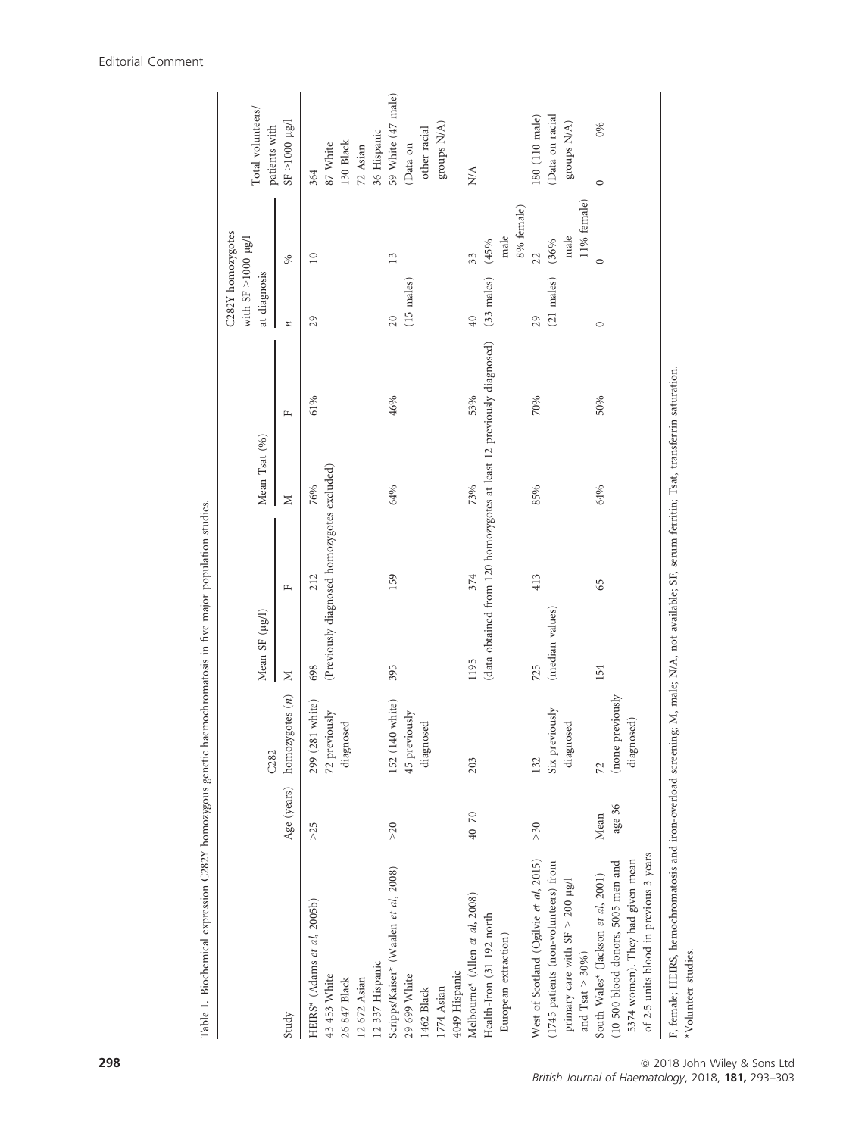|                                                                                                                                                        |                |                                                              | Mean SF (µg/l)         |                                                                              | Mean Tsat (%) |     | C282Y homozygotes<br>with SF $>1000 \mu g/l$<br>at diagnosis |                                   | Total volunteers/                                             |
|--------------------------------------------------------------------------------------------------------------------------------------------------------|----------------|--------------------------------------------------------------|------------------------|------------------------------------------------------------------------------|---------------|-----|--------------------------------------------------------------|-----------------------------------|---------------------------------------------------------------|
| Study                                                                                                                                                  |                | Age (years) homozygotes (n)<br>C <sub>2</sub> 8 <sub>2</sub> | Σ                      | Щ                                                                            | Σ             | Щ   | z                                                            | $\%$                              | $1000 \mu g/l$<br>patients with                               |
| HEIRS* (Adams et al, 2005b)<br>12 337 Hispanic<br>43 453 White<br>12 672 Asian<br>26 847 Black                                                         | >25            | 299 (281 white)<br>72 previously<br>diagnosed                | 698                    | (Previously diagnosed homozygotes excluded)<br>212                           | 76%           | 61% | 29                                                           | $\supseteq$                       | 36 Hispanic<br>130 Black<br>87 White<br>72 Asian<br>364       |
| Scripps/Kaiser* (Waalen et al, 2008)<br>4049 Hispanic<br>29 699 White<br>1462 Black<br>1774 Asian                                                      | $>20$          | 152 (140 white)<br>45 previously<br>diagnosed                | 395                    | 159                                                                          | 64%           | 46% | $(15 \text{ males})$<br>20                                   | 13                                | 59 White (47 male)<br>groups N/A)<br>other racial<br>(Data on |
| $\text{Melbourne}^{\star}$ (Allen et al, 2008)<br>Health-Iron (31 192 north<br>European extraction)                                                    | $40 - 70$      | 203                                                          | 1195                   | (data obtained from 120 homozygotes at least 12 previously diagnosed)<br>374 | 73%           | 53% | $(33$ males)<br>40                                           | 8% female)<br>male<br>(45%<br>33  | N/A                                                           |
| West of Scotland (Ogilvie et al, 2015)<br>(1745 patients (non-volunteers) from<br>primary care with SF $>$ 200 $\mu$ g/l<br>and Tsat $>$ 30%)          | $>30$          | Six previously<br>diagnosed<br>132                           | (median values)<br>725 | 413                                                                          | 85%           | 70% | $(21$ males)<br>29                                           | 11% female)<br>male<br>(36%<br>22 | (110 male) 181<br>(Data on racial<br>groups N/A)              |
| of 2.5 units blood in previous 3 years<br>5374 women). They had given mean<br>(10 500 blood donors, 5005 men and<br>South Wales* (Jackson et al, 2001) | age 36<br>Mean | (none previously<br>diagnosed)<br>72                         | 154                    | 65                                                                           | 64%           | 50% | $\circ$                                                      | $\circ$                           | 0%<br>$\circ$                                                 |
| F, female; HEIRS, hemochromatosis and iron-overload screening; M, male; N/A, not available; SF, serum ferritin; Tsat, transferrin saturation.          |                |                                                              |                        |                                                                              |               |     |                                                              |                                   |                                                               |

Table I. Biochemical expression C282Y homozygous genetic haemochromatosis in five major population studies. Table I. Biochemical expression C282Y homozygous genetic haemochromatosis in five major population studies.

# Editorial Comment

l,

\*Volunteer studies.

\*Volunteer studies.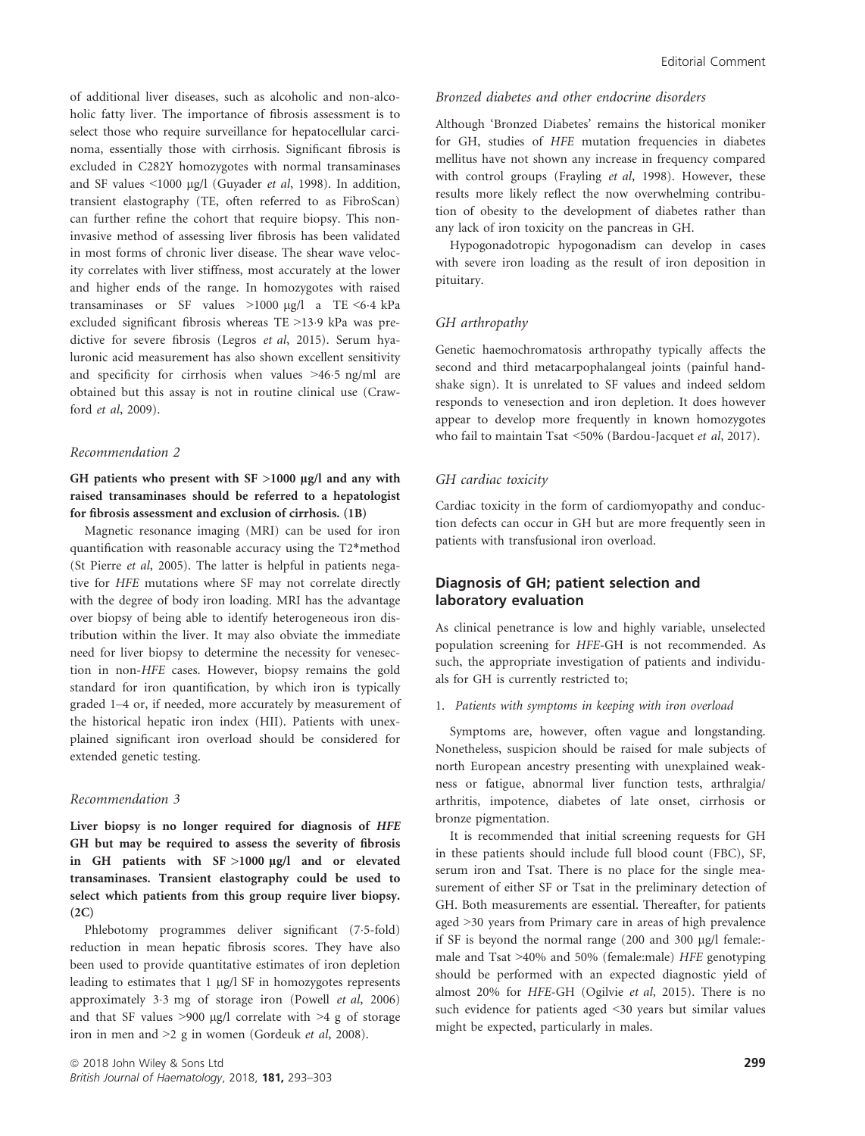of additional liver diseases, such as alcoholic and non-alcoholic fatty liver. The importance of fibrosis assessment is to select those who require surveillance for hepatocellular carcinoma, essentially those with cirrhosis. Significant fibrosis is excluded in C282Y homozygotes with normal transaminases and SF values  $\leq 1000$  µg/l (Guyader *et al*, 1998). In addition, transient elastography (TE, often referred to as FibroScan) can further refine the cohort that require biopsy. This noninvasive method of assessing liver fibrosis has been validated in most forms of chronic liver disease. The shear wave velocity correlates with liver stiffness, most accurately at the lower and higher ends of the range. In homozygotes with raised transaminases or SF values  $>1000$  µg/l a TE <6.4 kPa excluded significant fibrosis whereas TE >139 kPa was predictive for severe fibrosis (Legros et al, 2015). Serum hyaluronic acid measurement has also shown excellent sensitivity and specificity for cirrhosis when values >465 ng/ml are obtained but this assay is not in routine clinical use (Crawford et al, 2009).

#### Recommendation 2

GH patients who present with  $SF >1000 \mu g/l$  and any with raised transaminases should be referred to a hepatologist for fibrosis assessment and exclusion of cirrhosis. (1B)

Magnetic resonance imaging (MRI) can be used for iron quantification with reasonable accuracy using the T2\*method (St Pierre et al, 2005). The latter is helpful in patients negative for HFE mutations where SF may not correlate directly with the degree of body iron loading. MRI has the advantage over biopsy of being able to identify heterogeneous iron distribution within the liver. It may also obviate the immediate need for liver biopsy to determine the necessity for venesection in non-HFE cases. However, biopsy remains the gold standard for iron quantification, by which iron is typically graded 1–4 or, if needed, more accurately by measurement of the historical hepatic iron index (HII). Patients with unexplained significant iron overload should be considered for extended genetic testing.

#### Recommendation 3

Liver biopsy is no longer required for diagnosis of HFE GH but may be required to assess the severity of fibrosis in GH patients with  $SF >1000 \mu g/l$  and or elevated transaminases. Transient elastography could be used to select which patients from this group require liver biopsy.  $(2C)$ 

Phlebotomy programmes deliver significant (7.5-fold) reduction in mean hepatic fibrosis scores. They have also been used to provide quantitative estimates of iron depletion leading to estimates that 1 µg/l SF in homozygotes represents approximately 33 mg of storage iron (Powell et al, 2006) and that SF values  $>900$  µg/l correlate with  $>4$  g of storage iron in men and >2 g in women (Gordeuk et al, 2008).

#### Bronzed diabetes and other endocrine disorders

Although 'Bronzed Diabetes' remains the historical moniker for GH, studies of HFE mutation frequencies in diabetes mellitus have not shown any increase in frequency compared with control groups (Frayling et al, 1998). However, these results more likely reflect the now overwhelming contribution of obesity to the development of diabetes rather than any lack of iron toxicity on the pancreas in GH.

Hypogonadotropic hypogonadism can develop in cases with severe iron loading as the result of iron deposition in pituitary.

## GH arthropathy

Genetic haemochromatosis arthropathy typically affects the second and third metacarpophalangeal joints (painful handshake sign). It is unrelated to SF values and indeed seldom responds to venesection and iron depletion. It does however appear to develop more frequently in known homozygotes who fail to maintain Tsat <50% (Bardou-Jacquet et al, 2017).

## GH cardiac toxicity

Cardiac toxicity in the form of cardiomyopathy and conduction defects can occur in GH but are more frequently seen in patients with transfusional iron overload.

# Diagnosis of GH; patient selection and laboratory evaluation

As clinical penetrance is low and highly variable, unselected population screening for HFE-GH is not recommended. As such, the appropriate investigation of patients and individuals for GH is currently restricted to;

#### 1. Patients with symptoms in keeping with iron overload

Symptoms are, however, often vague and longstanding. Nonetheless, suspicion should be raised for male subjects of north European ancestry presenting with unexplained weakness or fatigue, abnormal liver function tests, arthralgia/ arthritis, impotence, diabetes of late onset, cirrhosis or bronze pigmentation.

It is recommended that initial screening requests for GH in these patients should include full blood count (FBC), SF, serum iron and Tsat. There is no place for the single measurement of either SF or Tsat in the preliminary detection of GH. Both measurements are essential. Thereafter, for patients aged >30 years from Primary care in areas of high prevalence if SF is beyond the normal range (200 and 300 µg/l female:male and Tsat >40% and 50% (female:male) HFE genotyping should be performed with an expected diagnostic yield of almost 20% for HFE-GH (Ogilvie et al, 2015). There is no such evidence for patients aged <30 years but similar values might be expected, particularly in males.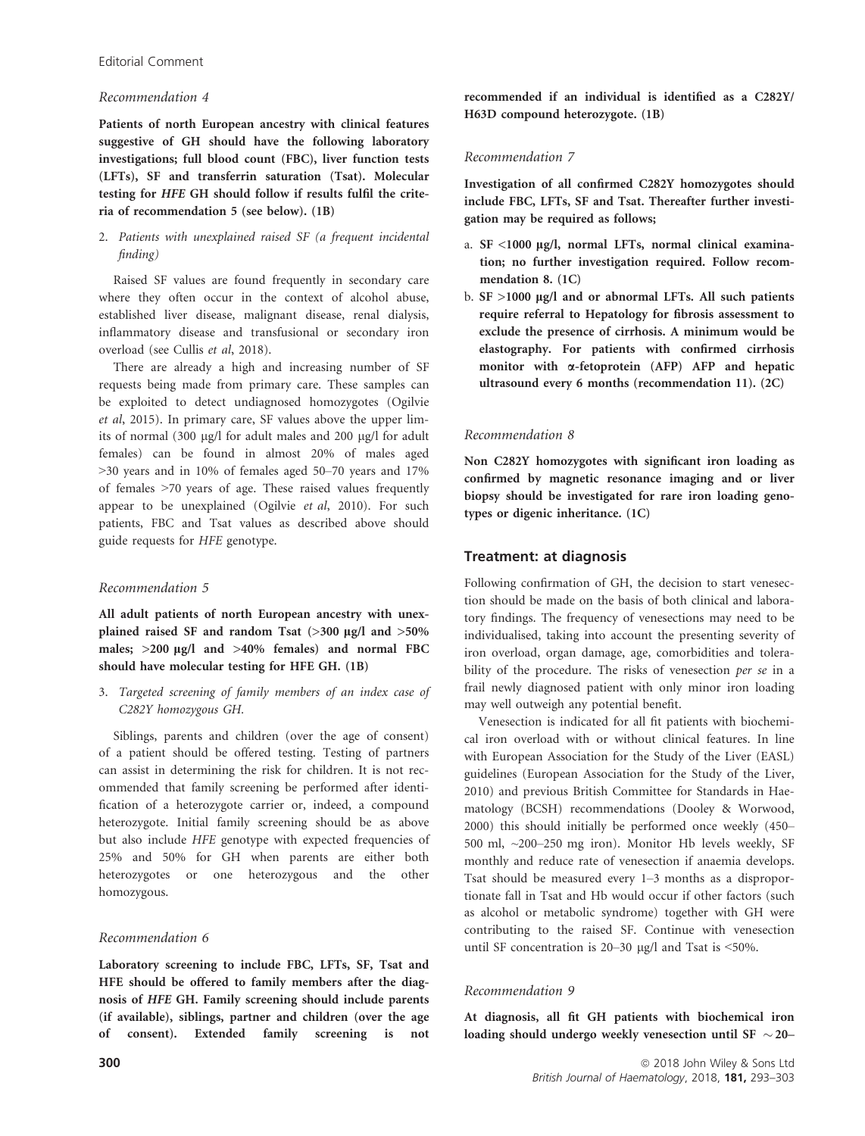## Recommendation 4

Patients of north European ancestry with clinical features suggestive of GH should have the following laboratory investigations; full blood count (FBC), liver function tests (LFTs), SF and transferrin saturation (Tsat). Molecular testing for HFE GH should follow if results fulfil the criteria of recommendation 5 (see below). (1B)

# 2. Patients with unexplained raised SF (a frequent incidental finding)

Raised SF values are found frequently in secondary care where they often occur in the context of alcohol abuse, established liver disease, malignant disease, renal dialysis, inflammatory disease and transfusional or secondary iron overload (see Cullis et al, 2018).

There are already a high and increasing number of SF requests being made from primary care. These samples can be exploited to detect undiagnosed homozygotes (Ogilvie et al, 2015). In primary care, SF values above the upper limits of normal (300 µg/l for adult males and 200 µg/l for adult females) can be found in almost 20% of males aged >30 years and in 10% of females aged 50–70 years and 17% of females >70 years of age. These raised values frequently appear to be unexplained (Ogilvie et al, 2010). For such patients, FBC and Tsat values as described above should guide requests for HFE genotype.

# Recommendation 5

All adult patients of north European ancestry with unexplained raised SF and random Tsat  $(>300 \text{ µg/l}$  and  $>50\%$ males;  $>200 \mu g/l$  and  $>40\%$  females) and normal FBC should have molecular testing for HFE GH. (1B)

3. Targeted screening of family members of an index case of C282Y homozygous GH.

Siblings, parents and children (over the age of consent) of a patient should be offered testing. Testing of partners can assist in determining the risk for children. It is not recommended that family screening be performed after identification of a heterozygote carrier or, indeed, a compound heterozygote. Initial family screening should be as above but also include HFE genotype with expected frequencies of 25% and 50% for GH when parents are either both heterozygotes or one heterozygous and the other homozygous.

# Recommendation 6

Laboratory screening to include FBC, LFTs, SF, Tsat and HFE should be offered to family members after the diagnosis of HFE GH. Family screening should include parents (if available), siblings, partner and children (over the age of consent). Extended family screening is not

recommended if an individual is identified as a C282Y/ H63D compound heterozygote. (1B)

# Recommendation 7

Investigation of all confirmed C282Y homozygotes should include FBC, LFTs, SF and Tsat. Thereafter further investigation may be required as follows;

- a. SF <1000 µg/l, normal LFTs, normal clinical examination; no further investigation required. Follow recommendation 8. (1C)
- b.  $SF >1000 \mu g/l$  and or abnormal LFTs. All such patients require referral to Hepatology for fibrosis assessment to exclude the presence of cirrhosis. A minimum would be elastography. For patients with confirmed cirrhosis monitor with  $\alpha$ -fetoprotein (AFP) AFP and hepatic ultrasound every 6 months (recommendation 11). (2C)

# Recommendation 8

Non C282Y homozygotes with significant iron loading as confirmed by magnetic resonance imaging and or liver biopsy should be investigated for rare iron loading genotypes or digenic inheritance. (1C)

# Treatment: at diagnosis

Following confirmation of GH, the decision to start venesection should be made on the basis of both clinical and laboratory findings. The frequency of venesections may need to be individualised, taking into account the presenting severity of iron overload, organ damage, age, comorbidities and tolerability of the procedure. The risks of venesection per se in a frail newly diagnosed patient with only minor iron loading may well outweigh any potential benefit.

Venesection is indicated for all fit patients with biochemical iron overload with or without clinical features. In line with European Association for the Study of the Liver (EASL) guidelines (European Association for the Study of the Liver, 2010) and previous British Committee for Standards in Haematology (BCSH) recommendations (Dooley & Worwood, 2000) this should initially be performed once weekly (450– 500 ml, ~200–250 mg iron). Monitor Hb levels weekly, SF monthly and reduce rate of venesection if anaemia develops. Tsat should be measured every 1–3 months as a disproportionate fall in Tsat and Hb would occur if other factors (such as alcohol or metabolic syndrome) together with GH were contributing to the raised SF. Continue with venesection until SF concentration is  $20-30 \mu g/l$  and Tsat is <50%.

# Recommendation 9

At diagnosis, all fit GH patients with biochemical iron loading should undergo weekly venesection until SF  $\sim$  20–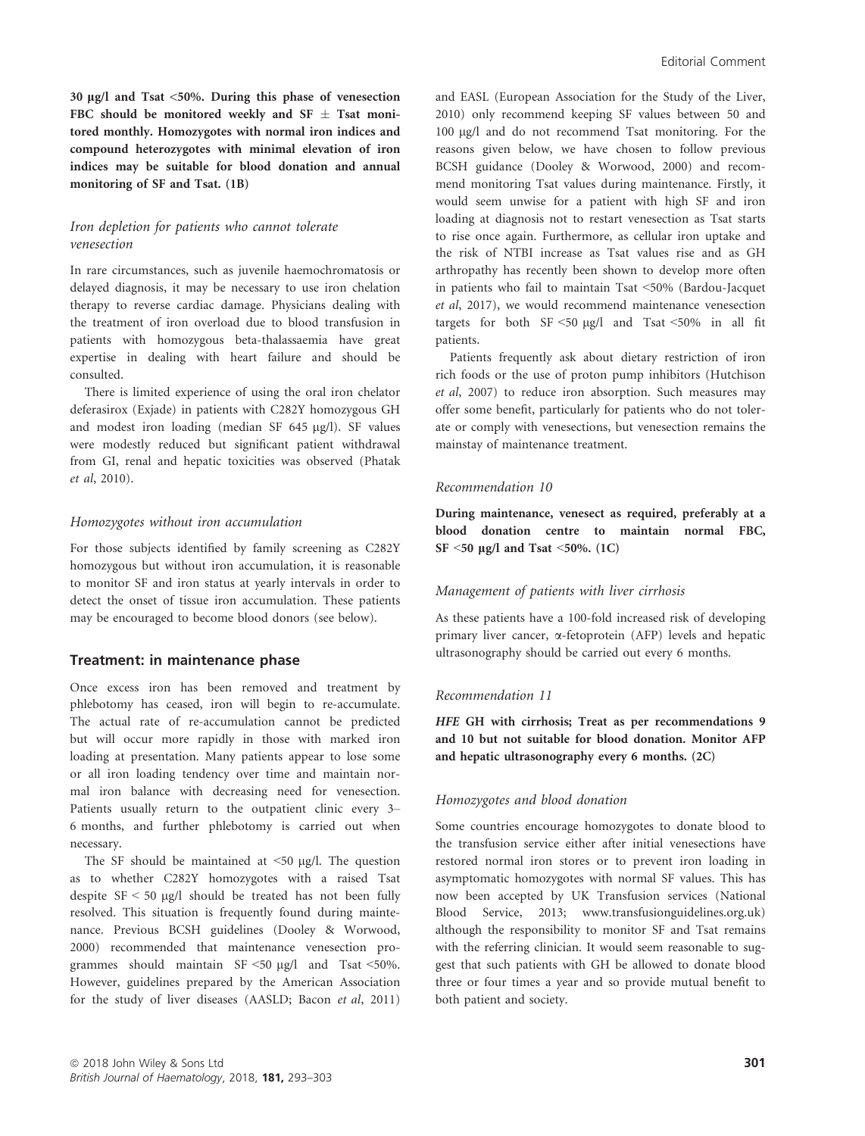30  $\mu$ g/l and Tsat <50%. During this phase of venesection FBC should be monitored weekly and SF  $\pm$  Tsat monitored monthly. Homozygotes with normal iron indices and compound heterozygotes with minimal elevation of iron indices may be suitable for blood donation and annual monitoring of SF and Tsat. (1B)

# Iron depletion for patients who cannot tolerate venesection

In rare circumstances, such as juvenile haemochromatosis or delayed diagnosis, it may be necessary to use iron chelation therapy to reverse cardiac damage. Physicians dealing with the treatment of iron overload due to blood transfusion in patients with homozygous beta-thalassaemia have great expertise in dealing with heart failure and should be consulted.

There is limited experience of using the oral iron chelator deferasirox (Exjade) in patients with C282Y homozygous GH and modest iron loading (median SF 645 µg/l). SF values were modestly reduced but significant patient withdrawal from GI, renal and hepatic toxicities was observed (Phatak et al, 2010).

#### Homozygotes without iron accumulation

For those subjects identified by family screening as C282Y homozygous but without iron accumulation, it is reasonable to monitor SF and iron status at yearly intervals in order to detect the onset of tissue iron accumulation. These patients may be encouraged to become blood donors (see below).

#### Treatment: in maintenance phase

Once excess iron has been removed and treatment by phlebotomy has ceased, iron will begin to re-accumulate. The actual rate of re-accumulation cannot be predicted but will occur more rapidly in those with marked iron loading at presentation. Many patients appear to lose some or all iron loading tendency over time and maintain normal iron balance with decreasing need for venesection. Patients usually return to the outpatient clinic every 3– 6 months, and further phlebotomy is carried out when necessary.

The SF should be maintained at  $\leq 50$  µg/l. The question as to whether C282Y homozygotes with a raised Tsat despite  $SF < 50 \mu g/l$  should be treated has not been fully resolved. This situation is frequently found during maintenance. Previous BCSH guidelines (Dooley & Worwood, 2000) recommended that maintenance venesection programmes should maintain  $SF \le 50 \mu g/l$  and Tsat <50%. However, guidelines prepared by the American Association for the study of liver diseases (AASLD; Bacon et al, 2011) and EASL (European Association for the Study of the Liver, 2010) only recommend keeping SF values between 50 and 100 lg/l and do not recommend Tsat monitoring. For the reasons given below, we have chosen to follow previous BCSH guidance (Dooley & Worwood, 2000) and recommend monitoring Tsat values during maintenance. Firstly, it would seem unwise for a patient with high SF and iron loading at diagnosis not to restart venesection as Tsat starts to rise once again. Furthermore, as cellular iron uptake and the risk of NTBI increase as Tsat values rise and as GH arthropathy has recently been shown to develop more often in patients who fail to maintain Tsat <50% (Bardou-Jacquet et al, 2017), we would recommend maintenance venesection targets for both  $SF < 50 \text{ kg/l}$  and Tsat  $\leq 50\%$  in all fit patients.

Patients frequently ask about dietary restriction of iron rich foods or the use of proton pump inhibitors (Hutchison et al, 2007) to reduce iron absorption. Such measures may offer some benefit, particularly for patients who do not tolerate or comply with venesections, but venesection remains the mainstay of maintenance treatment.

#### Recommendation 10

During maintenance, venesect as required, preferably at a blood donation centre to maintain normal FBC, SF  $\leq$ 50 µg/l and Tsat  $\leq$ 50%. (1C)

#### Management of patients with liver cirrhosis

As these patients have a 100-fold increased risk of developing primary liver cancer, a-fetoprotein (AFP) levels and hepatic ultrasonography should be carried out every 6 months.

#### Recommendation 11

HFE GH with cirrhosis; Treat as per recommendations 9 and 10 but not suitable for blood donation. Monitor AFP and hepatic ultrasonography every 6 months. (2C)

#### Homozygotes and blood donation

Some countries encourage homozygotes to donate blood to the transfusion service either after initial venesections have restored normal iron stores or to prevent iron loading in asymptomatic homozygotes with normal SF values. This has now been accepted by UK Transfusion services (National Blood Service, 2013; [www.transfusionguidelines.org.uk\)](http://www.transfusionguidelines.org.uk) although the responsibility to monitor SF and Tsat remains with the referring clinician. It would seem reasonable to suggest that such patients with GH be allowed to donate blood three or four times a year and so provide mutual benefit to both patient and society.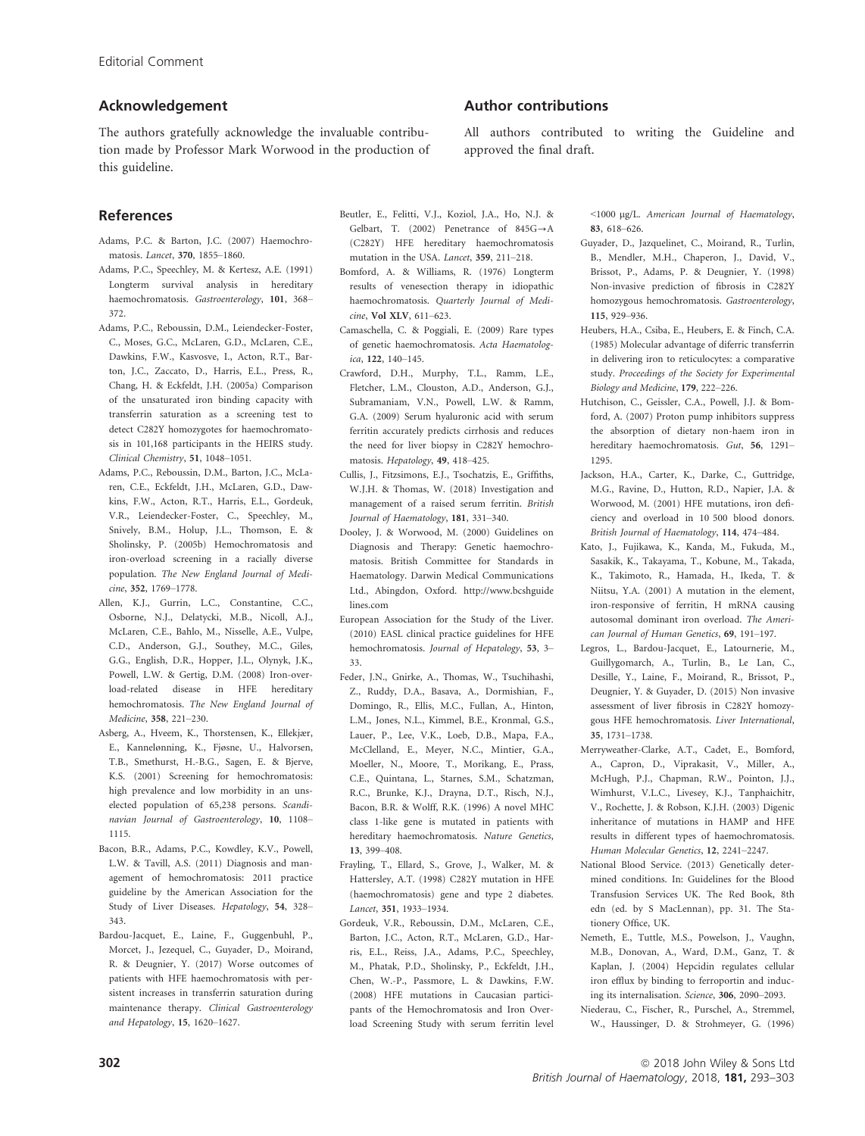# Acknowledgement

The authors gratefully acknowledge the invaluable contribution made by Professor Mark Worwood in the production of this guideline.

# References

- Adams, P.C. & Barton, J.C. (2007) Haemochromatosis. Lancet, 370, 1855–1860.
- Adams, P.C., Speechley, M. & Kertesz, A.E. (1991) Longterm survival analysis in hereditary haemochromatosis. Gastroenterology, 101, 368– 372.
- Adams, P.C., Reboussin, D.M., Leiendecker-Foster, C., Moses, G.C., McLaren, G.D., McLaren, C.E., Dawkins, F.W., Kasvosve, I., Acton, R.T., Barton, J.C., Zaccato, D., Harris, E.L., Press, R., Chang, H. & Eckfeldt, J.H. (2005a) Comparison of the unsaturated iron binding capacity with transferrin saturation as a screening test to detect C282Y homozygotes for haemochromatosis in 101,168 participants in the HEIRS study. Clinical Chemistry, 51, 1048–1051.
- Adams, P.C., Reboussin, D.M., Barton, J.C., McLaren, C.E., Eckfeldt, J.H., McLaren, G.D., Dawkins, F.W., Acton, R.T., Harris, E.L., Gordeuk, V.R., Leiendecker-Foster, C., Speechley, M., Snively, B.M., Holup, J.L., Thomson, E. & Sholinsky, P. (2005b) Hemochromatosis and iron-overload screening in a racially diverse population. The New England Journal of Medicine, 352, 1769–1778.
- Allen, K.J., Gurrin, L.C., Constantine, C.C., Osborne, N.J., Delatycki, M.B., Nicoll, A.J., McLaren, C.E., Bahlo, M., Nisselle, A.E., Vulpe, C.D., Anderson, G.J., Southey, M.C., Giles, G.G., English, D.R., Hopper, J.L., Olynyk, J.K., Powell, L.W. & Gertig, D.M. (2008) Iron-overload-related disease in HFE hereditary hemochromatosis. The New England Journal of Medicine, 358, 221–230.
- Asberg, A., Hveem, K., Thorstensen, K., Ellekjær, E., Kannelønning, K., Fjøsne, U., Halvorsen, T.B., Smethurst, H.-B.G., Sagen, E. & Bjerve, K.S. (2001) Screening for hemochromatosis: high prevalence and low morbidity in an unselected population of 65,238 persons. Scandinavian Journal of Gastroenterology, 10, 1108– 1115.
- Bacon, B.R., Adams, P.C., Kowdley, K.V., Powell, L.W. & Tavill, A.S. (2011) Diagnosis and management of hemochromatosis: 2011 practice guideline by the American Association for the Study of Liver Diseases. Hepatology, 54, 328– 343.
- Bardou-Jacquet, E., Laine, F., Guggenbuhl, P., Morcet, J., Jezequel, C., Guyader, D., Moirand, R. & Deugnier, Y. (2017) Worse outcomes of patients with HFE haemochromatosis with persistent increases in transferrin saturation during maintenance therapy. Clinical Gastroenterology and Hepatology, 15, 1620–1627.

# Author contributions

Beutler, E., Felitti, V.J., Koziol, J.A., Ho, N.J. & Gelbart, T. (2002) Penetrance of  $845G \rightarrow A$ (C282Y) HFE hereditary haemochromatosis mutation in the USA. Lancet, 359, 211–218. Bomford, A. & Williams, R. (1976) Longterm results of venesection therapy in idiopathic haemochromatosis. Quarterly Journal of Medi-

Camaschella, C. & Poggiali, E. (2009) Rare types of genetic haemochromatosis. Acta Haematolog-

Crawford, D.H., Murphy, T.L., Ramm, L.E., Fletcher, L.M., Clouston, A.D., Anderson, G.J., Subramaniam, V.N., Powell, L.W. & Ramm, G.A. (2009) Serum hyaluronic acid with serum ferritin accurately predicts cirrhosis and reduces the need for liver biopsy in C282Y hemochro-

Cullis, J., Fitzsimons, E.J., Tsochatzis, E., Griffiths, W.J.H. & Thomas, W. (2018) Investigation and management of a raised serum ferritin. British Journal of Haematology, 181, 331–340. Dooley, J. & Worwood, M. (2000) Guidelines on Diagnosis and Therapy: Genetic haemochromatosis. British Committee for Standards in Haematology. Darwin Medical Communications Ltd., Abingdon, Oxford. [http://www.bcshguide](http://www.bcshguidelines.com)

European Association for the Study of the Liver. (2010) EASL clinical practice guidelines for HFE hemochromatosis. Journal of Hepatology, 53, 3–

Feder, J.N., Gnirke, A., Thomas, W., Tsuchihashi, Z., Ruddy, D.A., Basava, A., Dormishian, F., Domingo, R., Ellis, M.C., Fullan, A., Hinton, L.M., Jones, N.L., Kimmel, B.E., Kronmal, G.S., Lauer, P., Lee, V.K., Loeb, D.B., Mapa, F.A., McClelland, E., Meyer, N.C., Mintier, G.A., Moeller, N., Moore, T., Morikang, E., Prass, C.E., Quintana, L., Starnes, S.M., Schatzman, R.C., Brunke, K.J., Drayna, D.T., Risch, N.J., Bacon, B.R. & Wolff, R.K. (1996) A novel MHC class 1-like gene is mutated in patients with hereditary haemochromatosis. Nature Genetics,

Frayling, T., Ellard, S., Grove, J., Walker, M. & Hattersley, A.T. (1998) C282Y mutation in HFE (haemochromatosis) gene and type 2 diabetes.

Gordeuk, V.R., Reboussin, D.M., McLaren, C.E., Barton, J.C., Acton, R.T., McLaren, G.D., Harris, E.L., Reiss, J.A., Adams, P.C., Speechley, M., Phatak, P.D., Sholinsky, P., Eckfeldt, J.H., Chen, W.-P., Passmore, L. & Dawkins, F.W. (2008) HFE mutations in Caucasian participants of the Hemochromatosis and Iron Overload Screening Study with serum ferritin level

matosis. Hepatology, 49, 418–425.

cine, Vol XLV, 611–623.

ica, 122, 140–145.

[lines.com](http://www.bcshguidelines.com)

13, 399–408.

Lancet, 351, 1933–1934.

33.

All authors contributed to writing the Guideline and approved the final draft.

> <1000 lg/L. American Journal of Haematology, 83, 618–626.

- Guyader, D., Jazquelinet, C., Moirand, R., Turlin, B., Mendler, M.H., Chaperon, J., David, V., Brissot, P., Adams, P. & Deugnier, Y. (1998) Non-invasive prediction of fibrosis in C282Y homozygous hemochromatosis. Gastroenterology, 115, 929–936.
- Heubers, H.A., Csiba, E., Heubers, E. & Finch, C.A. (1985) Molecular advantage of diferric transferrin in delivering iron to reticulocytes: a comparative study. Proceedings of the Society for Experimental Biology and Medicine, 179, 222–226.
- Hutchison, C., Geissler, C.A., Powell, J.J. & Bomford, A. (2007) Proton pump inhibitors suppress the absorption of dietary non-haem iron in hereditary haemochromatosis. Gut, 56, 1291– 1295.
- Jackson, H.A., Carter, K., Darke, C., Guttridge, M.G., Ravine, D., Hutton, R.D., Napier, J.A. & Worwood, M. (2001) HFE mutations, iron deficiency and overload in 10 500 blood donors. British Journal of Haematology, 114, 474–484.
- Kato, J., Fujikawa, K., Kanda, M., Fukuda, M., Sasakik, K., Takayama, T., Kobune, M., Takada, K., Takimoto, R., Hamada, H., Ikeda, T. & Niitsu, Y.A. (2001) A mutation in the element, iron-responsive of ferritin, H mRNA causing autosomal dominant iron overload. The American Journal of Human Genetics, 69, 191–197.
- Legros, L., Bardou-Jacquet, E., Latournerie, M., Guillygomarch, A., Turlin, B., Le Lan, C., Desille, Y., Laine, F., Moirand, R., Brissot, P., Deugnier, Y. & Guyader, D. (2015) Non invasive assessment of liver fibrosis in C282Y homozygous HFE hemochromatosis. Liver International, 35, 1731–1738.
- Merryweather-Clarke, A.T., Cadet, E., Bomford, A., Capron, D., Viprakasit, V., Miller, A., McHugh, P.J., Chapman, R.W., Pointon, J.J., Wimhurst, V.L.C., Livesey, K.J., Tanphaichitr, V., Rochette, J. & Robson, K.J.H. (2003) Digenic inheritance of mutations in HAMP and HFE results in different types of haemochromatosis. Human Molecular Genetics, 12, 2241–2247.
- National Blood Service. (2013) Genetically determined conditions. In: Guidelines for the Blood Transfusion Services UK. The Red Book, 8th edn (ed. by S MacLennan), pp. 31. The Stationery Office, UK.
- Nemeth, E., Tuttle, M.S., Powelson, J., Vaughn, M.B., Donovan, A., Ward, D.M., Ganz, T. & Kaplan, J. (2004) Hepcidin regulates cellular iron efflux by binding to ferroportin and inducing its internalisation. Science, 306, 2090–2093.
- Niederau, C., Fischer, R., Purschel, A., Stremmel, W., Haussinger, D. & Strohmeyer, G. (1996)